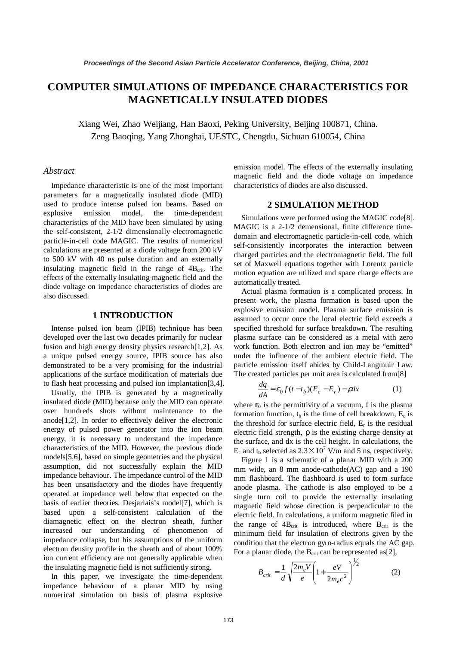# **COMPUTER SIMULATIONS OF IMPEDANCE CHARACTERISTICS FOR MAGNETICALLY INSULATED DIODES**

Xiang Wei, Zhao Weijiang, Han Baoxi, Peking University, Beijing 100871, China. Zeng Baoqing, Yang Zhonghai, UESTC, Chengdu, Sichuan 610054, China

#### *Abstract*

Impedance characteristic is one of the most important parameters for a magnetically insulated diode (MID) used to produce intense pulsed ion beams. Based on explosive emission model, the time-dependent characteristics of the MID have been simulated by using the self-consistent, 2-1/2 dimensionally electromagnetic particle-in-cell code MAGIC. The results of numerical calculations are presented at a diode voltage from 200 kV to 500 kV with 40 ns pulse duration and an externally insulating magnetic field in the range of  $4B<sub>crit</sub>$ . The effects of the externally insulating magnetic field and the diode voltage on impedance characteristics of diodes are also discussed.

# **1 INTRODUCTION**

Intense pulsed ion beam (IPIB) technique has been developed over the last two decades primarily for nuclear fusion and high energy density physics research[1,2]. As a unique pulsed energy source, IPIB source has also demonstrated to be a very promising for the industrial applications of the surface modification of materials due to flash heat processing and pulsed ion implantation[3,4].

Usually, the IPIB is generated by a magnetically insulated diode (MID) because only the MID can operate over hundreds shots without maintenance to the anode[1,2]. In order to effectively deliver the electronic energy of pulsed power generator into the ion beam energy, it is necessary to understand the impedance characteristics of the MID. However, the previous diode models[5,6], based on simple geometries and the physical assumption, did not successfully explain the MID impedance behaviour. The impedance control of the MID has been unsatisfactory and the diodes have frequently operated at impedance well below that expected on the basis of earlier theories. Desjarlais's model[7], which is based upon a self-consistent calculation of the diamagnetic effect on the electron sheath, further increased our understanding of phenomenon of impedance collapse, but his assumptions of the uniform electron density profile in the sheath and of about 100% ion current efficiency are not generally applicable when the insulating magnetic field is not sufficiently strong.

In this paper, we investigate the time-dependent impedance behaviour of a planar MID by using numerical simulation on basis of plasma explosive emission model. The effects of the externally insulating magnetic field and the diode voltage on impedance characteristics of diodes are also discussed.

## **2 SIMULATION METHOD**

Simulations were performed using the MAGIC code[8]. MAGIC is a 2-1/2 demensional, finite difference timedomain and electromagnetic particle-in-cell code, which self-consistently incorporates the interaction between charged particles and the electromagnetic field. The full set of Maxwell equations together with Lorentz particle motion equation are utilized and space charge effects are automatically treated.

Actual plasma formation is a complicated process. In present work, the plasma formation is based upon the explosive emission model. Plasma surface emission is assumed to occur once the local electric field exceeds a specified threshold for surface breakdown. The resulting plasma surface can be considered as a metal with zero work function. Both electron and ion may be "emitted" under the influence of the ambient electric field. The particle emission itself abides by Child-Langmuir Law. The created particles per unit area is calculated from[8]

$$
\frac{dq}{dA} = \varepsilon_0 f(t - t_b)(E_c - E_r) - \rho dx
$$
 (1)

where  $\varepsilon_0$  is the permittivity of a vacuum, f is the plasma formation function,  $t_b$  is the time of cell breakdown,  $E_c$  is the threshold for surface electric field,  $E_r$  is the residual electric field strength, ρ is the existing charge density at the surface, and dx is the cell height. In calculations, the  $E_c$  and  $t_b$  selected as  $2.3 \times 10^7$  V/m and 5 ns, respectively.<br>Figure 1 is a schematic of a planar MID with a 200

Figure 1 is a schematic of a planar MID with a 200 mm wide, an 8 mm anode-cathode(AC) gap and a 190 mm flashboard. The flashboard is used to form surface anode plasma. The cathode is also employed to be a single turn coil to provide the externally insulating magnetic field whose direction is perpendicular to the electric field. In calculations, a uniform magnetic filed in the range of  $4B_{crit}$  is introduced, where  $B_{crit}$  is the minimum field for insulation of electrons given by the condition that the electron gyro-radius equals the AC gap. For a planar diode, the  $B_{crit}$  can be represented as[2],

$$
B_{crit} = \frac{1}{d} \sqrt{\frac{2m_e V}{e}} \left( 1 + \frac{eV}{2m_e c^2} \right)^{\frac{1}{2}}
$$
 (2)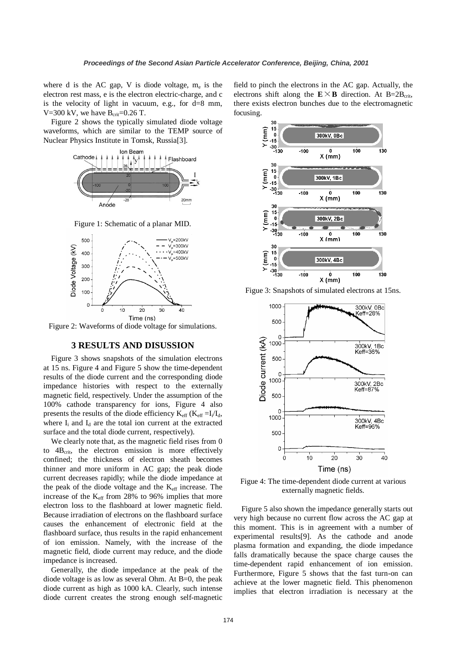where d is the AC gap, V is diode voltage,  $m_e$  is the electron rest mass, e is the electron electric-charge, and c is the velocity of light in vacuum, e.g., for d=8 mm, V=300 kV, we have  $B_{\text{crit}}$ =0.26 T.

Figure 2 shows the typically simulated diode voltage waveforms, which are similar to the TEMP source of Nuclear Physics Institute in Tomsk, Russia[3].



Figure 1: Schematic of a planar MID.



Figure 2: Waveforms of diode voltage for simulations.

## **3 RESULTS AND DISUSSION**

Figure 3 shows snapshots of the simulation electrons at 15 ns. Figure 4 and Figure 5 show the time-dependent results of the diode current and the corresponding diode impedance histories with respect to the externally magnetic field, respectively. Under the assumption of the 100% cathode transparency for ions, Figure 4 also presents the results of the diode efficiency  $K_{\text{eff}}$  ( $K_{\text{eff}} = I_i/I_d$ , where  $I_i$  and  $I_d$  are the total ion current at the extracted surface and the total diode current, respectively).

We clearly note that, as the magnetic field rises from 0 to  $4B<sub>crit</sub>$ , the electron emission is more effectively confined; the thickness of electron sheath becomes thinner and more uniform in AC gap; the peak diode current decreases rapidly; while the diode impedance at the peak of the diode voltage and the  $K_{\text{eff}}$  increase. The increase of the  $K_{\text{eff}}$  from 28% to 96% implies that more electron loss to the flashboard at lower magnetic field. Because irradiation of electrons on the flashboard surface causes the enhancement of electronic field at the flashboard surface, thus results in the rapid enhancement of ion emission. Namely, with the increase of the magnetic field, diode current may reduce, and the diode impedance is increased.

Generally, the diode impedance at the peak of the diode voltage is as low as several Ohm. At B=0, the peak diode current as high as 1000 kA. Clearly, such intense diode current creates the strong enough self-magnetic

field to pinch the electrons in the AC gap. Actually, the electrons shift along the  $E \times B$  direction. At B=2B<sub>crit</sub>, there exists electron bunches due to the electromagnetic focusing.



Figue 3: Snapshots of simulated electrons at 15ns.



Figue 4: The time-dependent diode current at various externally magnetic fields.

Figure 5 also shown the impedance generally starts out very high because no current flow across the AC gap at this moment. This is in agreement with a number of experimental results[9]. As the cathode and anode plasma formation and expanding, the diode impedance falls dramatically because the space charge causes the time-dependent rapid enhancement of ion emission. Furthermore, Figure 5 shows that the fast turn-on can achieve at the lower magnetic field. This phenomenon implies that electron irradiation is necessary at the